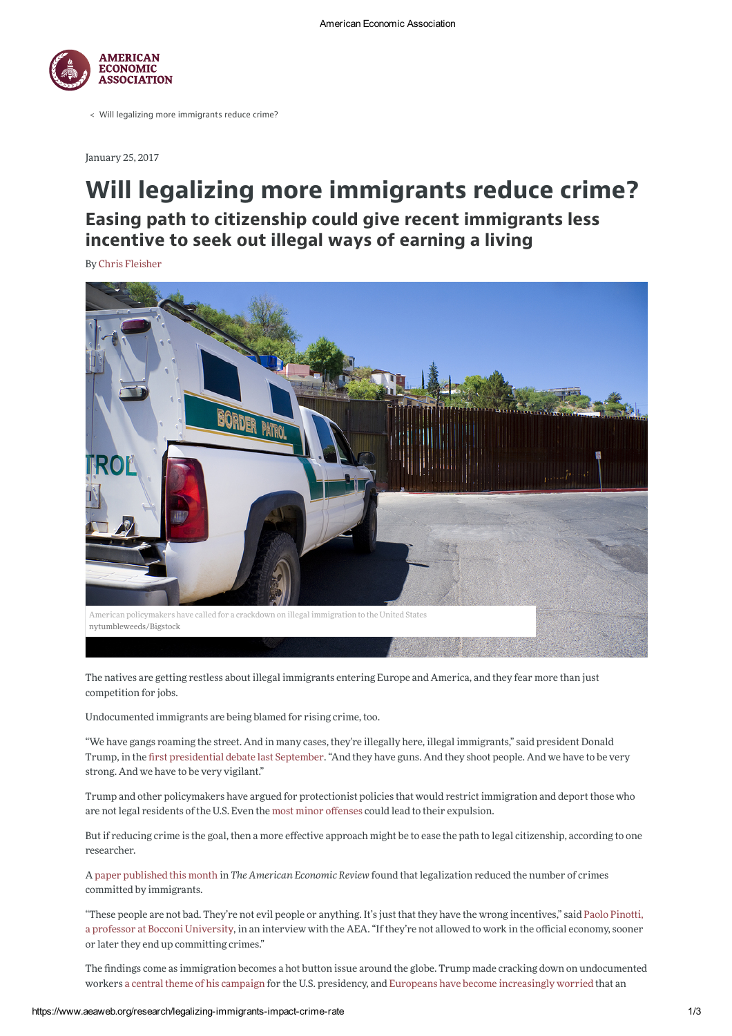

< Will legalizing more immigrants reduce crime?

January 25, 2017

## Will legalizing more immigrants reduce crime? Easing path to citizenship could give recent immigrants less incentive to seek out illegal ways of earning a living

**By Chris Fleisher** 



The natives are getting restless about illegal immigrants entering Europe and America, and they fear more than just competition for jobs.

Undocumented immigrants are being blamed for rising crime, too.

"We have gangs roaming the street. And in many cases, they're illegally here, illegal immigrants," said president Donald Trump, in the first presidential debate last September. "And they have guns. And they shoot people. And we have to be very strong. And we have to be very vigilant."

Trump and other policymakers have argued for protectionist policies that would restrict immigration and deport those who are not legal residents of the U.S. Even the most minor offenses could lead to their expulsion.

But if reducing crime is the goal, then a more effective approach might be to ease the path to legal citizenship, according to one researcher

A paper published this month in The American Economic Review found that legalization reduced the number of crimes committed by immigrants.

"These people are not bad. They're not evil people or anything. It's just that they have the wrong incentives," said Paolo Pinotti, a professor at Bocconi University, in an interview with the AEA. "If they're not allowed to work in the official economy, sooner or later they end up committing crimes."

The findings come as immigration becomes a hot button issue around the globe. Trump made cracking down on undocumented workers a central theme of his campaign for the U.S. presidency, and Europeans have become increasingly worried that an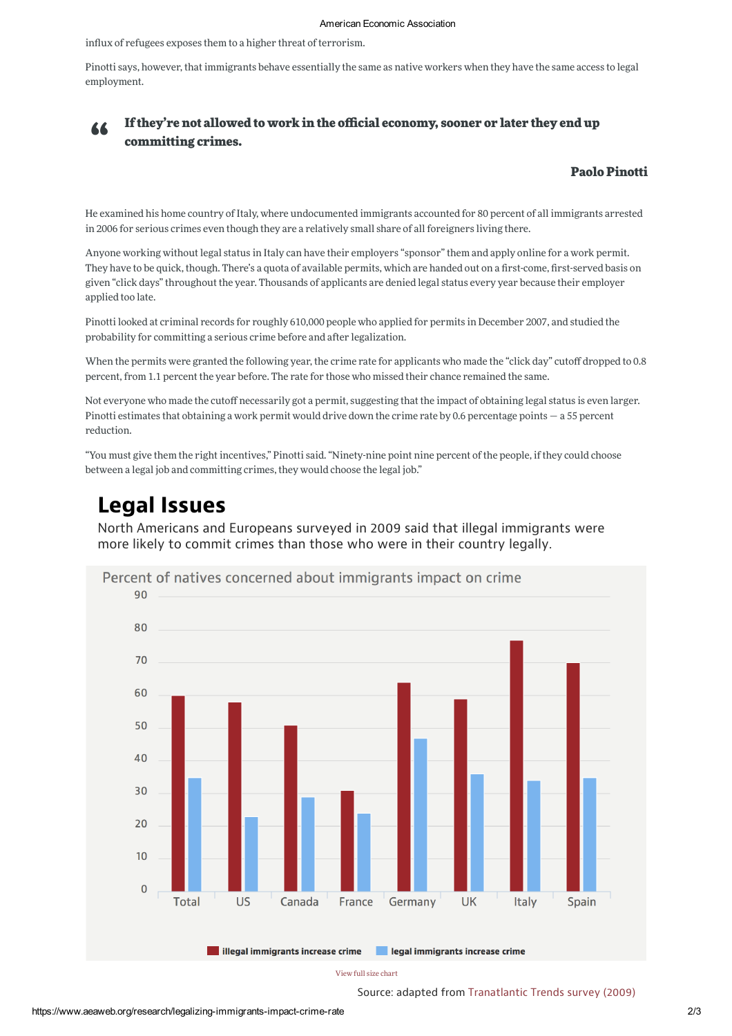influx of refugees exposes them to a higher threat of terrorism.

Pinotti says, however, that immigrants behave essentially the same as native workers when they have the same access to legal employment.



## If they're not allowed to work in the official economy, sooner or later they end up committing crimes.

## **Paolo Pinotti**

He examined his home country of Italy, where undocumented immigrants accounted for 80 percent of all immigrants arrested in 2006 for serious crimes even though they are a relatively small share of all foreigners living there.

Anyone working without legal status in Italy can have their employers "sponsor" them and apply online for a work permit. They have to be quick, though. There's a quota of available permits, which are handed out on a first-come, first-served basis on given "click days" throughout the year. Thousands of applicants are denied legal status every year because their employer applied too late.

Pinotti looked at criminal records for roughly 610,000 people who applied for permits in December 2007, and studied the probability for committing a serious crime before and after legalization.

When the permits were granted the following year, the crime rate for applicants who made the "click day" cutoff dropped to 0.8 percent, from 1.1 percent the year before. The rate for those who missed their chance remained the same.

Not everyone who made the cutoff necessarily got a permit, suggesting that the impact of obtaining legal status is even larger. Pinotti estimates that obtaining a work permit would drive down the crime rate by 0.6 percentage points  $-$  a 55 percent reduction.

"You must give them the right incentives," Pinotti said. "Ninety-nine point nine percent of the people, if they could choose between a legal job and committing crimes, they would choose the legal job."

## **Legal Issues**

North Americans and Europeans surveyed in 2009 said that illegal immigrants were more likely to commit crimes than those who were in their country legally.



View full size chart

Source: adapted from Tranatlantic Trends survey (2009)